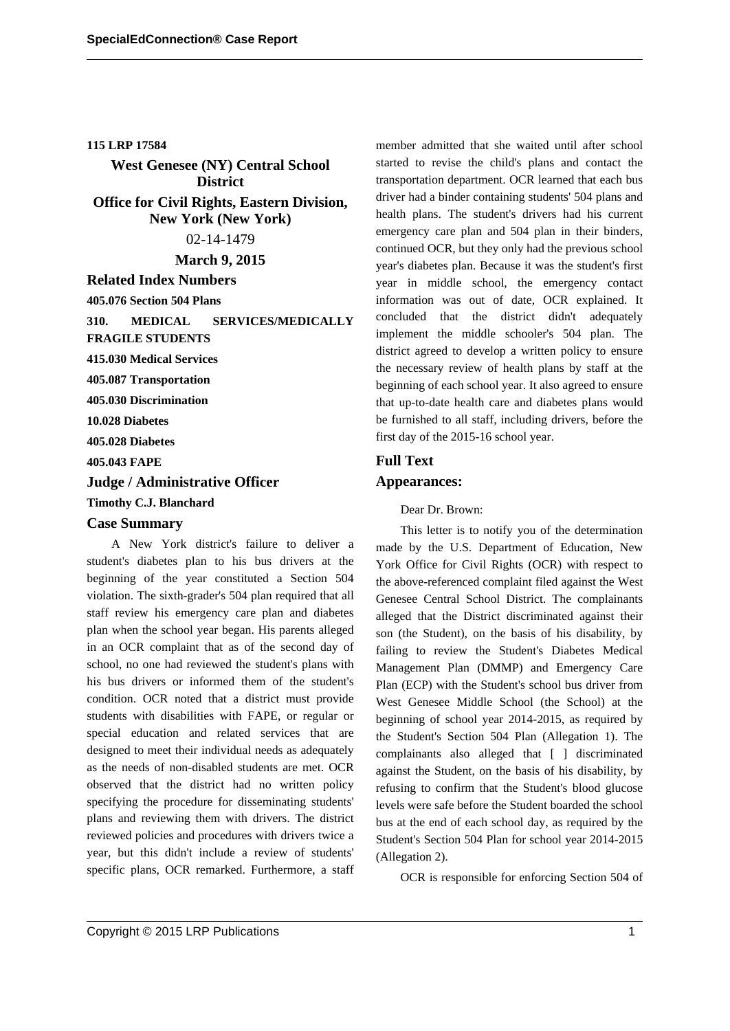### **115 LRP 17584**

**West Genesee (NY) Central School District**

**Office for Civil Rights, Eastern Division, New York (New York)**

02-14-1479

**March 9, 2015**

**Related Index Numbers**

**405.076 Section 504 Plans**

**310. MEDICAL SERVICES/MEDICALLY**

**FRAGILE STUDENTS 415.030 Medical Services**

**405.087 Transportation**

**405.030 Discrimination**

**10.028 Diabetes**

**405.028 Diabetes**

**405.043 FAPE**

# **Judge / Administrative Officer**

**Timothy C.J. Blanchard**

## **Case Summary**

A New York district's failure to deliver a student's diabetes plan to his bus drivers at the beginning of the year constituted a Section 504 violation. The sixth-grader's 504 plan required that all staff review his emergency care plan and diabetes plan when the school year began. His parents alleged in an OCR complaint that as of the second day of school, no one had reviewed the student's plans with his bus drivers or informed them of the student's condition. OCR noted that a district must provide students with disabilities with FAPE, or regular or special education and related services that are designed to meet their individual needs as adequately as the needs of non-disabled students are met. OCR observed that the district had no written policy specifying the procedure for disseminating students' plans and reviewing them with drivers. The district reviewed policies and procedures with drivers twice a year, but this didn't include a review of students' specific plans, OCR remarked. Furthermore, a staff member admitted that she waited until after school started to revise the child's plans and contact the transportation department. OCR learned that each bus driver had a binder containing students' 504 plans and health plans. The student's drivers had his current emergency care plan and 504 plan in their binders, continued OCR, but they only had the previous school year's diabetes plan. Because it was the student's first year in middle school, the emergency contact information was out of date, OCR explained. It concluded that the district didn't adequately implement the middle schooler's 504 plan. The district agreed to develop a written policy to ensure the necessary review of health plans by staff at the beginning of each school year. It also agreed to ensure that up-to-date health care and diabetes plans would be furnished to all staff, including drivers, before the first day of the 2015-16 school year.

# **Full Text**

### **Appearances:**

### Dear Dr. Brown:

This letter is to notify you of the determination made by the U.S. Department of Education, New York Office for Civil Rights (OCR) with respect to the above-referenced complaint filed against the West Genesee Central School District. The complainants alleged that the District discriminated against their son (the Student), on the basis of his disability, by failing to review the Student's Diabetes Medical Management Plan (DMMP) and Emergency Care Plan (ECP) with the Student's school bus driver from West Genesee Middle School (the School) at the beginning of school year 2014-2015, as required by the Student's Section 504 Plan (Allegation 1). The complainants also alleged that [ ] discriminated against the Student, on the basis of his disability, by refusing to confirm that the Student's blood glucose levels were safe before the Student boarded the school bus at the end of each school day, as required by the Student's Section 504 Plan for school year 2014-2015 (Allegation 2).

OCR is responsible for enforcing Section 504 of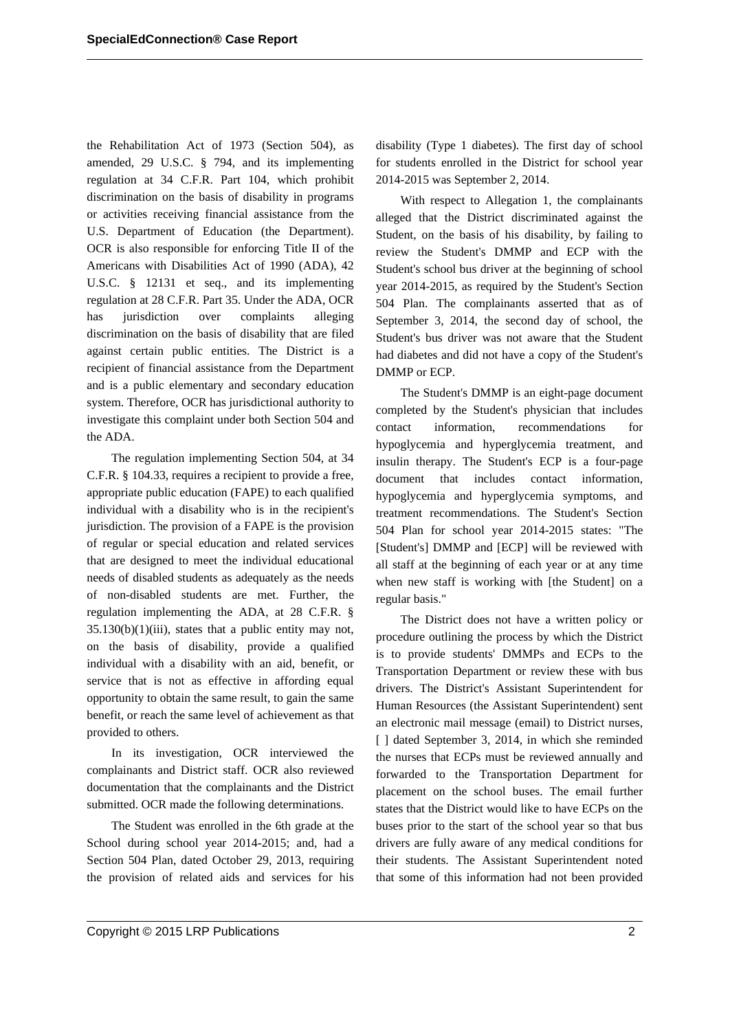the Rehabilitation Act of 1973 (Section 504), as amended, 29 U.S.C. § 794, and its implementing regulation at 34 C.F.R. Part 104, which prohibit discrimination on the basis of disability in programs or activities receiving financial assistance from the U.S. Department of Education (the Department). OCR is also responsible for enforcing Title II of the Americans with Disabilities Act of 1990 (ADA), 42 U.S.C. § 12131 et seq., and its implementing regulation at 28 C.F.R. Part 35. Under the ADA, OCR has jurisdiction over complaints alleging discrimination on the basis of disability that are filed against certain public entities. The District is a recipient of financial assistance from the Department and is a public elementary and secondary education system. Therefore, OCR has jurisdictional authority to investigate this complaint under both Section 504 and the ADA.

The regulation implementing Section 504, at 34 C.F.R. § 104.33, requires a recipient to provide a free, appropriate public education (FAPE) to each qualified individual with a disability who is in the recipient's jurisdiction. The provision of a FAPE is the provision of regular or special education and related services that are designed to meet the individual educational needs of disabled students as adequately as the needs of non-disabled students are met. Further, the regulation implementing the ADA, at 28 C.F.R. §  $35.130(b)(1)(iii)$ , states that a public entity may not, on the basis of disability, provide a qualified individual with a disability with an aid, benefit, or service that is not as effective in affording equal opportunity to obtain the same result, to gain the same benefit, or reach the same level of achievement as that provided to others.

In its investigation, OCR interviewed the complainants and District staff. OCR also reviewed documentation that the complainants and the District submitted. OCR made the following determinations.

The Student was enrolled in the 6th grade at the School during school year 2014-2015; and, had a Section 504 Plan, dated October 29, 2013, requiring the provision of related aids and services for his disability (Type 1 diabetes). The first day of school for students enrolled in the District for school year 2014-2015 was September 2, 2014.

With respect to Allegation 1, the complainants alleged that the District discriminated against the Student, on the basis of his disability, by failing to review the Student's DMMP and ECP with the Student's school bus driver at the beginning of school year 2014-2015, as required by the Student's Section 504 Plan. The complainants asserted that as of September 3, 2014, the second day of school, the Student's bus driver was not aware that the Student had diabetes and did not have a copy of the Student's DMMP or ECP.

The Student's DMMP is an eight-page document completed by the Student's physician that includes contact information, recommendations for hypoglycemia and hyperglycemia treatment, and insulin therapy. The Student's ECP is a four-page document that includes contact information, hypoglycemia and hyperglycemia symptoms, and treatment recommendations. The Student's Section 504 Plan for school year 2014-2015 states: "The [Student's] DMMP and [ECP] will be reviewed with all staff at the beginning of each year or at any time when new staff is working with [the Student] on a regular basis."

The District does not have a written policy or procedure outlining the process by which the District is to provide students' DMMPs and ECPs to the Transportation Department or review these with bus drivers. The District's Assistant Superintendent for Human Resources (the Assistant Superintendent) sent an electronic mail message (email) to District nurses, [ ] dated September 3, 2014, in which she reminded the nurses that ECPs must be reviewed annually and forwarded to the Transportation Department for placement on the school buses. The email further states that the District would like to have ECPs on the buses prior to the start of the school year so that bus drivers are fully aware of any medical conditions for their students. The Assistant Superintendent noted that some of this information had not been provided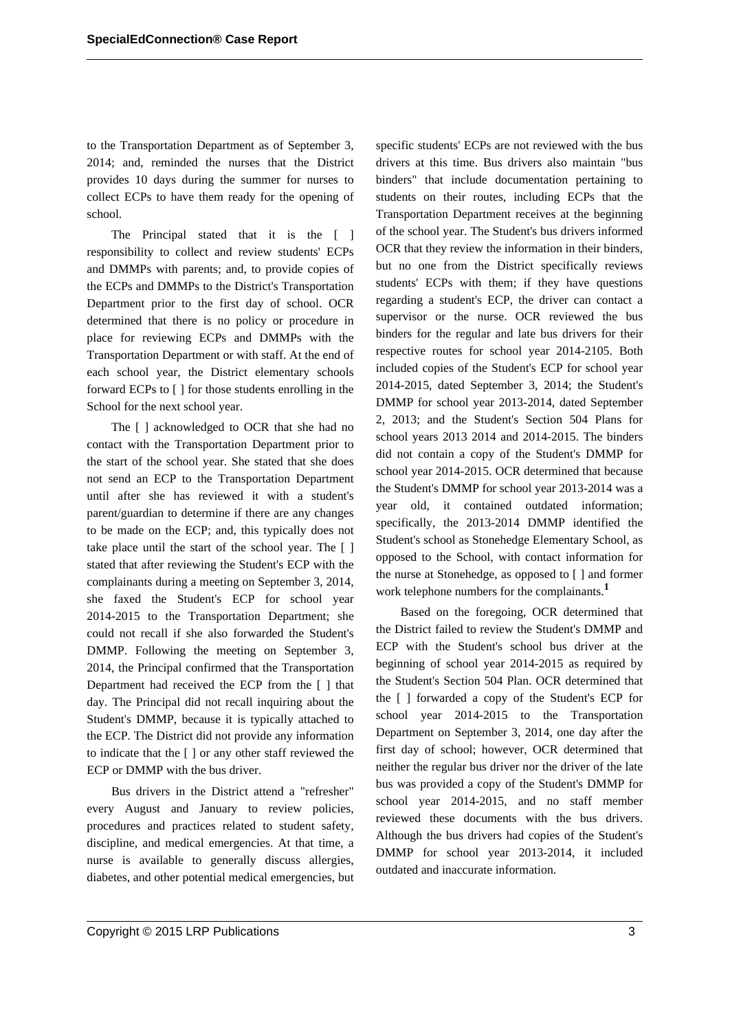to the Transportation Department as of September 3, 2014; and, reminded the nurses that the District provides 10 days during the summer for nurses to collect ECPs to have them ready for the opening of school.

The Principal stated that it is the [ ] responsibility to collect and review students' ECPs and DMMPs with parents; and, to provide copies of the ECPs and DMMPs to the District's Transportation Department prior to the first day of school. OCR determined that there is no policy or procedure in place for reviewing ECPs and DMMPs with the Transportation Department or with staff. At the end of each school year, the District elementary schools forward ECPs to [ ] for those students enrolling in the School for the next school year.

The [ ] acknowledged to OCR that she had no contact with the Transportation Department prior to the start of the school year. She stated that she does not send an ECP to the Transportation Department until after she has reviewed it with a student's parent/guardian to determine if there are any changes to be made on the ECP; and, this typically does not take place until the start of the school year. The [ ] stated that after reviewing the Student's ECP with the complainants during a meeting on September 3, 2014, she faxed the Student's ECP for school year 2014-2015 to the Transportation Department; she could not recall if she also forwarded the Student's DMMP. Following the meeting on September 3, 2014, the Principal confirmed that the Transportation Department had received the ECP from the [ ] that day. The Principal did not recall inquiring about the Student's DMMP, because it is typically attached to the ECP. The District did not provide any information to indicate that the [ ] or any other staff reviewed the ECP or DMMP with the bus driver.

Bus drivers in the District attend a "refresher" every August and January to review policies, procedures and practices related to student safety, discipline, and medical emergencies. At that time, a nurse is available to generally discuss allergies, diabetes, and other potential medical emergencies, but specific students' ECPs are not reviewed with the bus drivers at this time. Bus drivers also maintain "bus binders" that include documentation pertaining to students on their routes, including ECPs that the Transportation Department receives at the beginning of the school year. The Student's bus drivers informed OCR that they review the information in their binders, but no one from the District specifically reviews students' ECPs with them; if they have questions regarding a student's ECP, the driver can contact a supervisor or the nurse. OCR reviewed the bus binders for the regular and late bus drivers for their respective routes for school year 2014-2105. Both included copies of the Student's ECP for school year 2014-2015, dated September 3, 2014; the Student's DMMP for school year 2013-2014, dated September 2, 2013; and the Student's Section 504 Plans for school years 2013 2014 and 2014-2015. The binders did not contain a copy of the Student's DMMP for school year 2014-2015. OCR determined that because the Student's DMMP for school year 2013-2014 was a year old, it contained outdated information; specifically, the 2013-2014 DMMP identified the Student's school as Stonehedge Elementary School, as opposed to the School, with contact information for the nurse at Stonehedge, as opposed to [ ] and former work telephone numbers for the complainants.**<sup>1</sup>**

Based on the foregoing, OCR determined that the District failed to review the Student's DMMP and ECP with the Student's school bus driver at the beginning of school year 2014-2015 as required by the Student's Section 504 Plan. OCR determined that the [ ] forwarded a copy of the Student's ECP for school year 2014-2015 to the Transportation Department on September 3, 2014, one day after the first day of school; however, OCR determined that neither the regular bus driver nor the driver of the late bus was provided a copy of the Student's DMMP for school year 2014-2015, and no staff member reviewed these documents with the bus drivers. Although the bus drivers had copies of the Student's DMMP for school year 2013-2014, it included outdated and inaccurate information.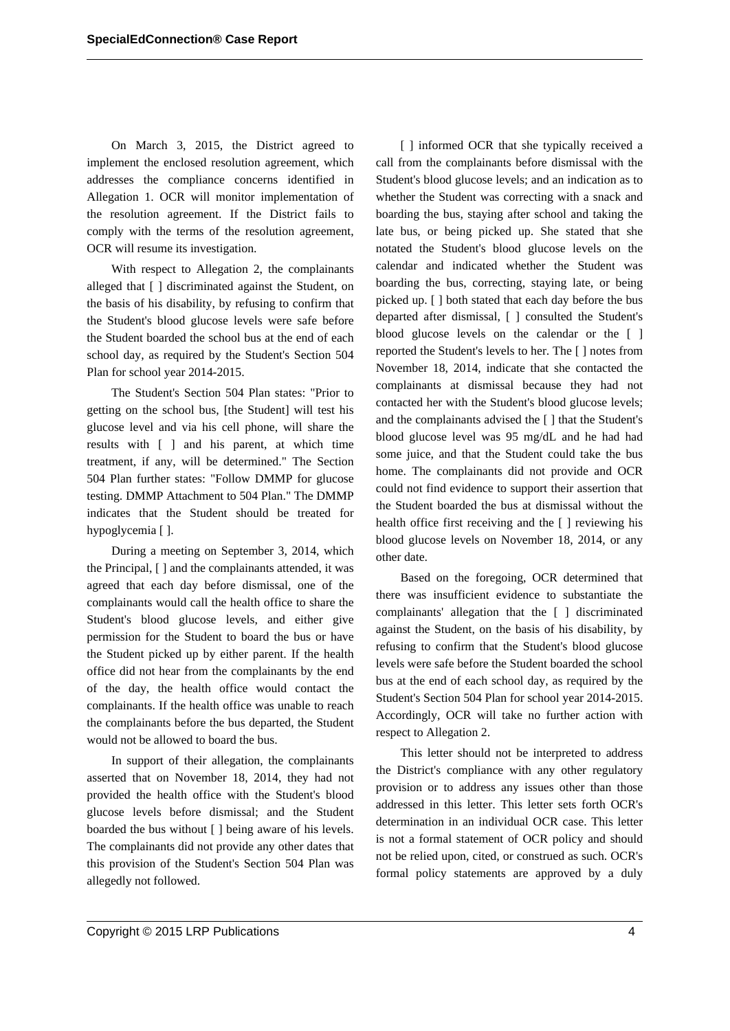On March 3, 2015, the District agreed to implement the enclosed resolution agreement, which addresses the compliance concerns identified in Allegation 1. OCR will monitor implementation of the resolution agreement. If the District fails to comply with the terms of the resolution agreement, OCR will resume its investigation.

With respect to Allegation 2, the complainants alleged that [ ] discriminated against the Student, on the basis of his disability, by refusing to confirm that the Student's blood glucose levels were safe before the Student boarded the school bus at the end of each school day, as required by the Student's Section 504 Plan for school year 2014-2015.

The Student's Section 504 Plan states: "Prior to getting on the school bus, [the Student] will test his glucose level and via his cell phone, will share the results with [ ] and his parent, at which time treatment, if any, will be determined." The Section 504 Plan further states: "Follow DMMP for glucose testing. DMMP Attachment to 504 Plan." The DMMP indicates that the Student should be treated for hypoglycemia [ ].

During a meeting on September 3, 2014, which the Principal, [ ] and the complainants attended, it was agreed that each day before dismissal, one of the complainants would call the health office to share the Student's blood glucose levels, and either give permission for the Student to board the bus or have the Student picked up by either parent. If the health office did not hear from the complainants by the end of the day, the health office would contact the complainants. If the health office was unable to reach the complainants before the bus departed, the Student would not be allowed to board the bus.

In support of their allegation, the complainants asserted that on November 18, 2014, they had not provided the health office with the Student's blood glucose levels before dismissal; and the Student boarded the bus without [ ] being aware of his levels. The complainants did not provide any other dates that this provision of the Student's Section 504 Plan was allegedly not followed.

[ ] informed OCR that she typically received a call from the complainants before dismissal with the Student's blood glucose levels; and an indication as to whether the Student was correcting with a snack and boarding the bus, staying after school and taking the late bus, or being picked up. She stated that she notated the Student's blood glucose levels on the calendar and indicated whether the Student was boarding the bus, correcting, staying late, or being picked up. [ ] both stated that each day before the bus departed after dismissal, [ ] consulted the Student's blood glucose levels on the calendar or the [ ] reported the Student's levels to her. The [ ] notes from November 18, 2014, indicate that she contacted the complainants at dismissal because they had not contacted her with the Student's blood glucose levels; and the complainants advised the [ ] that the Student's blood glucose level was 95 mg/dL and he had had some juice, and that the Student could take the bus home. The complainants did not provide and OCR could not find evidence to support their assertion that the Student boarded the bus at dismissal without the health office first receiving and the [ ] reviewing his blood glucose levels on November 18, 2014, or any other date.

Based on the foregoing, OCR determined that there was insufficient evidence to substantiate the complainants' allegation that the [ ] discriminated against the Student, on the basis of his disability, by refusing to confirm that the Student's blood glucose levels were safe before the Student boarded the school bus at the end of each school day, as required by the Student's Section 504 Plan for school year 2014-2015. Accordingly, OCR will take no further action with respect to Allegation 2.

This letter should not be interpreted to address the District's compliance with any other regulatory provision or to address any issues other than those addressed in this letter. This letter sets forth OCR's determination in an individual OCR case. This letter is not a formal statement of OCR policy and should not be relied upon, cited, or construed as such. OCR's formal policy statements are approved by a duly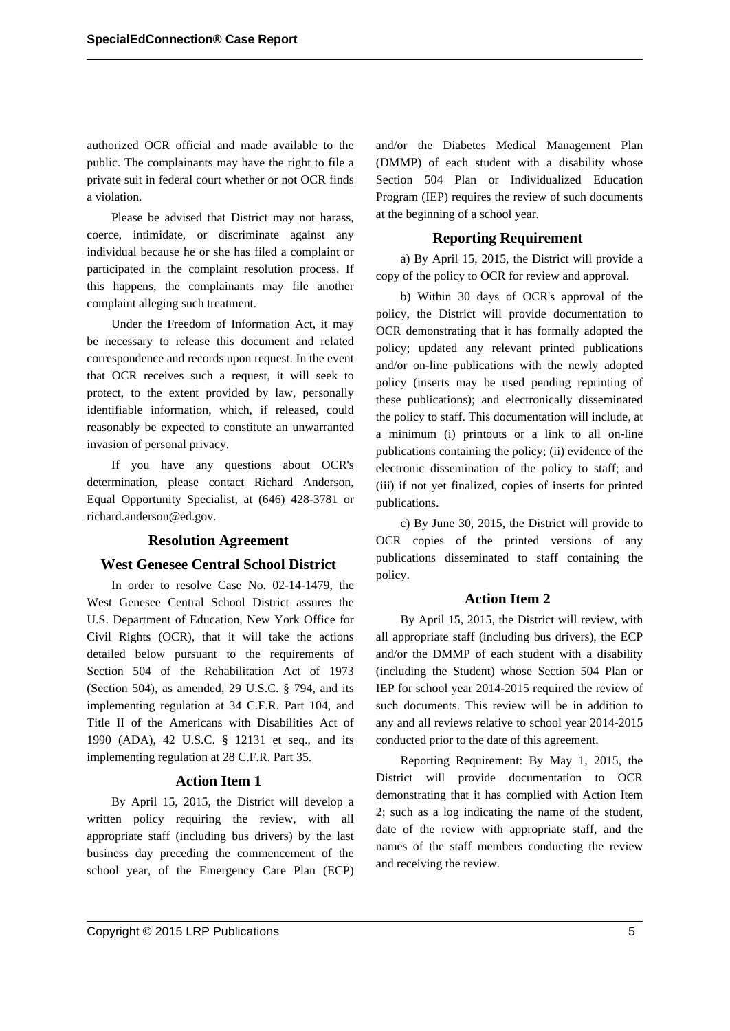authorized OCR official and made available to the public. The complainants may have the right to file a private suit in federal court whether or not OCR finds a violation.

Please be advised that District may not harass, coerce, intimidate, or discriminate against any individual because he or she has filed a complaint or participated in the complaint resolution process. If this happens, the complainants may file another complaint alleging such treatment.

Under the Freedom of Information Act, it may be necessary to release this document and related correspondence and records upon request. In the event that OCR receives such a request, it will seek to protect, to the extent provided by law, personally identifiable information, which, if released, could reasonably be expected to constitute an unwarranted invasion of personal privacy.

If you have any questions about OCR's determination, please contact Richard Anderson, Equal Opportunity Specialist, at (646) 428-3781 or richard.anderson@ed.gov.

# **Resolution Agreement**

### **West Genesee Central School District**

In order to resolve Case No. 02-14-1479, the West Genesee Central School District assures the U.S. Department of Education, New York Office for Civil Rights (OCR), that it will take the actions detailed below pursuant to the requirements of Section 504 of the Rehabilitation Act of 1973 (Section 504), as amended, 29 U.S.C. § 794, and its implementing regulation at 34 C.F.R. Part 104, and Title II of the Americans with Disabilities Act of 1990 (ADA), 42 U.S.C. § 12131 et seq., and its implementing regulation at 28 C.F.R. Part 35.

### **Action Item 1**

By April 15, 2015, the District will develop a written policy requiring the review, with all appropriate staff (including bus drivers) by the last business day preceding the commencement of the school year, of the Emergency Care Plan (ECP) and/or the Diabetes Medical Management Plan (DMMP) of each student with a disability whose Section 504 Plan or Individualized Education Program (IEP) requires the review of such documents at the beginning of a school year.

## **Reporting Requirement**

a) By April 15, 2015, the District will provide a copy of the policy to OCR for review and approval.

b) Within 30 days of OCR's approval of the policy, the District will provide documentation to OCR demonstrating that it has formally adopted the policy; updated any relevant printed publications and/or on-line publications with the newly adopted policy (inserts may be used pending reprinting of these publications); and electronically disseminated the policy to staff. This documentation will include, at a minimum (i) printouts or a link to all on-line publications containing the policy; (ii) evidence of the electronic dissemination of the policy to staff; and (iii) if not yet finalized, copies of inserts for printed publications.

c) By June 30, 2015, the District will provide to OCR copies of the printed versions of any publications disseminated to staff containing the policy.

# **Action Item 2**

By April 15, 2015, the District will review, with all appropriate staff (including bus drivers), the ECP and/or the DMMP of each student with a disability (including the Student) whose Section 504 Plan or IEP for school year 2014-2015 required the review of such documents. This review will be in addition to any and all reviews relative to school year 2014-2015 conducted prior to the date of this agreement.

Reporting Requirement: By May 1, 2015, the District will provide documentation to OCR demonstrating that it has complied with Action Item 2; such as a log indicating the name of the student, date of the review with appropriate staff, and the names of the staff members conducting the review and receiving the review.